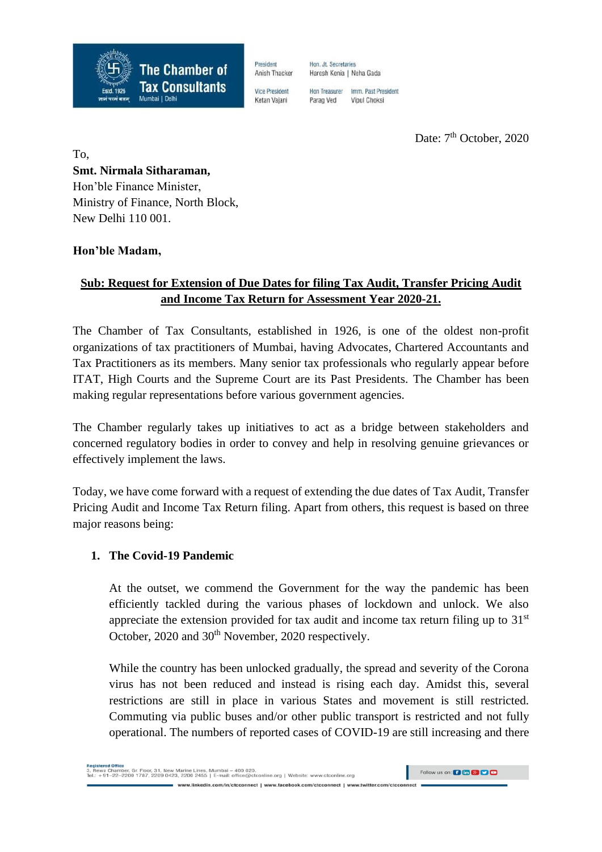

President Anish Thacker **Vice President** 

Ketan Vajani

Hon, Jt. Secretaries Haresh Kenia | Neha Gada

Hon Treasurer Imm, Past President Parag Ved Vinul Choksi

Date: 7<sup>th</sup> October, 2020

To, **Smt. Nirmala Sitharaman,** Hon'ble Finance Minister, Ministry of Finance, North Block, New Delhi 110 001.

### **Hon'ble Madam,**

# **Sub: Request for Extension of Due Dates for filing Tax Audit, Transfer Pricing Audit and Income Tax Return for Assessment Year 2020-21.**

The Chamber of Tax Consultants, established in 1926, is one of the oldest non-profit organizations of tax practitioners of Mumbai, having Advocates, Chartered Accountants and Tax Practitioners as its members. Many senior tax professionals who regularly appear before ITAT, High Courts and the Supreme Court are its Past Presidents. The Chamber has been making regular representations before various government agencies.

The Chamber regularly takes up initiatives to act as a bridge between stakeholders and concerned regulatory bodies in order to convey and help in resolving genuine grievances or effectively implement the laws.

Today, we have come forward with a request of extending the due dates of Tax Audit, Transfer Pricing Audit and Income Tax Return filing. Apart from others, this request is based on three major reasons being:

### **1. The Covid-19 Pandemic**

At the outset, we commend the Government for the way the pandemic has been efficiently tackled during the various phases of lockdown and unlock. We also appreciate the extension provided for tax audit and income tax return filing up to  $31<sup>st</sup>$ October, 2020 and 30<sup>th</sup> November, 2020 respectively.

While the country has been unlocked gradually, the spread and severity of the Corona virus has not been reduced and instead is rising each day. Amidst this, several restrictions are still in place in various States and movement is still restricted. Commuting via public buses and/or other public transport is restricted and not fully operational. The numbers of reported cases of COVID-19 are still increasing and there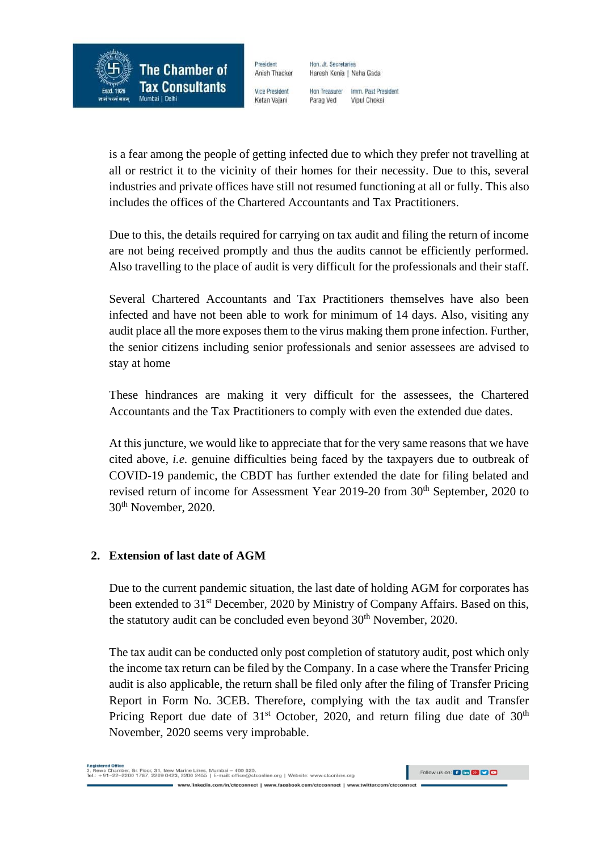

President Anish Thacker **Vice President** 

Ketan Vajani

Hon, Jt. Secretaries Haresh Kenia | Neha Gada

Hon Treasurer Imm, Past President Parag Ved Vinul Choksi

is a fear among the people of getting infected due to which they prefer not travelling at all or restrict it to the vicinity of their homes for their necessity. Due to this, several industries and private offices have still not resumed functioning at all or fully. This also includes the offices of the Chartered Accountants and Tax Practitioners.

Due to this, the details required for carrying on tax audit and filing the return of income are not being received promptly and thus the audits cannot be efficiently performed. Also travelling to the place of audit is very difficult for the professionals and their staff.

Several Chartered Accountants and Tax Practitioners themselves have also been infected and have not been able to work for minimum of 14 days. Also, visiting any audit place all the more exposes them to the virus making them prone infection. Further, the senior citizens including senior professionals and senior assessees are advised to stay at home

These hindrances are making it very difficult for the assessees, the Chartered Accountants and the Tax Practitioners to comply with even the extended due dates.

At this juncture, we would like to appreciate that for the very same reasons that we have cited above, *i.e.* genuine difficulties being faced by the taxpayers due to outbreak of COVID-19 pandemic, the CBDT has further extended the date for filing belated and revised return of income for Assessment Year 2019-20 from 30<sup>th</sup> September, 2020 to 30th November, 2020.

### **2. Extension of last date of AGM**

Due to the current pandemic situation, the last date of holding AGM for corporates has been extended to 31<sup>st</sup> December, 2020 by Ministry of Company Affairs. Based on this, the statutory audit can be concluded even beyond 30<sup>th</sup> November, 2020.

The tax audit can be conducted only post completion of statutory audit, post which only the income tax return can be filed by the Company. In a case where the Transfer Pricing audit is also applicable, the return shall be filed only after the filing of Transfer Pricing Report in Form No. 3CEB. Therefore, complying with the tax audit and Transfer Pricing Report due date of  $31<sup>st</sup>$  October, 2020, and return filing due date of  $30<sup>th</sup>$ November, 2020 seems very improbable.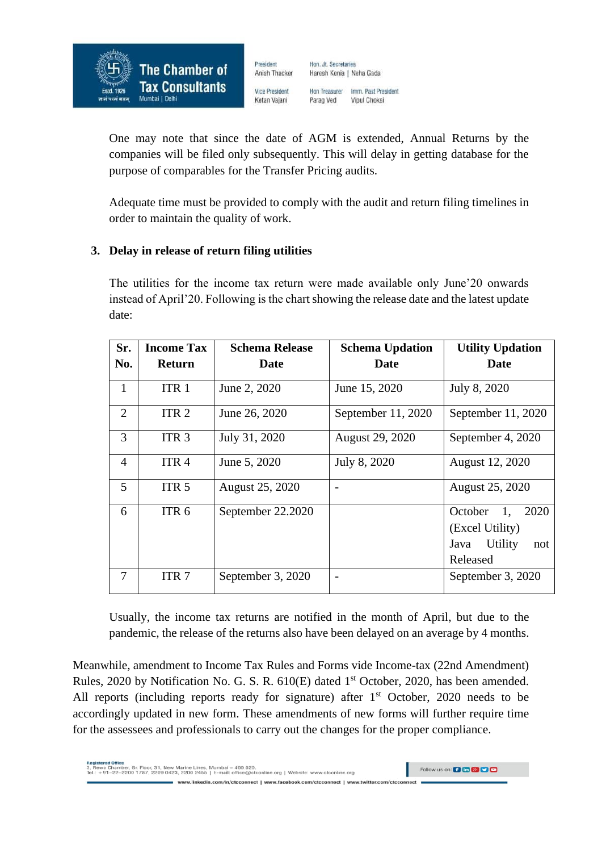

President Hon, Jt. Secretaries Anish Thacker

Haresh Kenia | Neha Gada Hon Treasurer Imm, Past President

**Vice President** Ketan Vajani

Parag Ved Vipul Choksi

One may note that since the date of AGM is extended, Annual Returns by the companies will be filed only subsequently. This will delay in getting database for the purpose of comparables for the Transfer Pricing audits.

Adequate time must be provided to comply with the audit and return filing timelines in order to maintain the quality of work.

## **3. Delay in release of return filing utilities**

The utilities for the income tax return were made available only June'20 onwards instead of April'20. Following is the chart showing the release date and the latest update date:

| Sr.            | <b>Income Tax</b> | <b>Schema Release</b> | <b>Schema Updation</b> | <b>Utility Updation</b>                                                        |
|----------------|-------------------|-----------------------|------------------------|--------------------------------------------------------------------------------|
| No.            | <b>Return</b>     | Date                  | Date                   | Date                                                                           |
| $\mathbf{1}$   | ITR <sub>1</sub>  | June 2, 2020          | June 15, 2020          | July 8, 2020                                                                   |
| 2              | ITR <sub>2</sub>  | June 26, 2020         | September 11, 2020     | September 11, 2020                                                             |
| 3              | ITR <sub>3</sub>  | July 31, 2020         | August 29, 2020        | September 4, 2020                                                              |
| $\overline{4}$ | ITR <sub>4</sub>  | June 5, 2020          | July 8, 2020           | August 12, 2020                                                                |
| $\mathfrak{H}$ | ITR <sub>5</sub>  | August 25, 2020       |                        | August 25, 2020                                                                |
| 6              | ITR <sub>6</sub>  | September 22.2020     |                        | October<br>1,<br>2020<br>(Excel Utility)<br>Utility<br>Java<br>not<br>Released |
| 7              | ITR <sub>7</sub>  | September 3, 2020     |                        | September 3, 2020                                                              |

Usually, the income tax returns are notified in the month of April, but due to the pandemic, the release of the returns also have been delayed on an average by 4 months.

Meanwhile, amendment to Income Tax Rules and Forms vide Income-tax (22nd Amendment) Rules, 2020 by Notification No. G. S. R. 610(E) dated 1<sup>st</sup> October, 2020, has been amended. All reports (including reports ready for signature) after  $1<sup>st</sup>$  October, 2020 needs to be accordingly updated in new form. These amendments of new forms will further require time for the assessees and professionals to carry out the changes for the proper compliance.